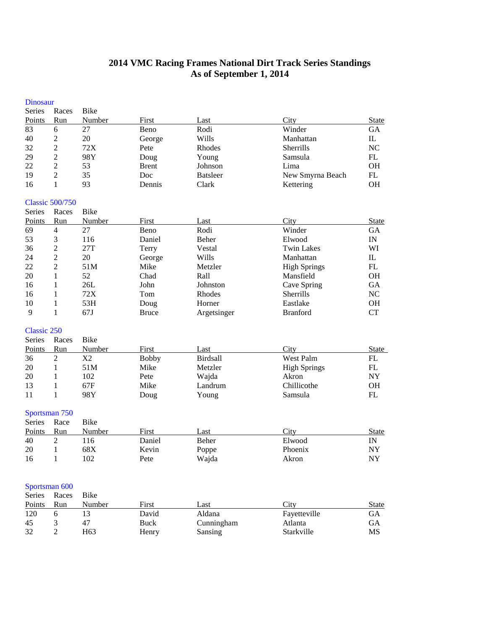# **VMC Racing Frames National Dirt Track Series Standings As of September 1, 2014**

| <b>Dinosaur</b>    |                               |             |              |                 |                     |                          |
|--------------------|-------------------------------|-------------|--------------|-----------------|---------------------|--------------------------|
| <b>Series</b>      | Races                         | Bike        |              |                 |                     |                          |
| Points             | Run                           | Number      | First        | Last            | City                | <b>State</b>             |
| 83                 | 6                             | 27          | Beno         | Rodi            | Winder              | GА                       |
| 40                 | $\sqrt{2}$                    | 20          | George       | Wills           | Manhattan           | $_{\rm IL}$              |
| 32                 | $\overline{2}$                | 72X         | Pete         | Rhodes          | Sherrills           | NC                       |
| 29                 | $\overline{c}$                | 98Y         | Doug         | Young           | Samsula             | ${\rm FL}$               |
| 22                 | $\sqrt{2}$                    | 53          | <b>Brent</b> | Johnson         | Lima                | OH                       |
| 19                 | $\overline{2}$                | 35          | Doc          | <b>Batsleer</b> | New Smyrna Beach    | FL                       |
| 16                 | 1                             | 93          | Dennis       | Clark           | Kettering           | OH                       |
|                    | <b>Classic 500/750</b>        |             |              |                 |                     |                          |
| <b>Series</b>      | Races                         | <b>Bike</b> |              |                 |                     |                          |
| Points             | Run                           | Number      | First        | Last            | City                | <b>State</b>             |
| 69                 | $\overline{4}$                | 27          | Beno         | Rodi            | Winder              | GA                       |
| 53                 | $\mathfrak{Z}$                | 116         | Daniel       | Beher           | Elwood              | $\ensuremath{\text{IN}}$ |
| 36                 | $\overline{2}$                | 27T         | Terry        | Vestal          | <b>Twin Lakes</b>   | WI                       |
| 24                 | $\overline{2}$                | 20          | George       | Wills           | Manhattan           | IL                       |
| 22                 | $\sqrt{2}$                    | 51M         | Mike         | Metzler         | <b>High Springs</b> | FL                       |
| 20                 | $\mathbf{1}$                  | 52          | Chad         | Rall            | Mansfield           | OН                       |
| 16                 | $\mathbf{1}$                  | 26L         | John         | Johnston        | Cave Spring         | GA                       |
| 16                 | $\mathbf{1}$                  | 72X         | Tom          | Rhodes          | Sherrills           | NC                       |
| 10                 | 1                             | 53H         | Doug         | Horner          | Eastlake            | <b>OH</b>                |
| 9                  | $\mathbf{1}$                  | 67J         | <b>Bruce</b> | Argetsinger     | <b>Branford</b>     | <b>CT</b>                |
| <b>Classic 250</b> |                               |             |              |                 |                     |                          |
| Series             | Races                         | <b>Bike</b> |              |                 |                     |                          |
| Points             | Run                           | Number      | First        | Last            | City                | State                    |
| 36                 | $\overline{2}$                | X2          | <b>Bobby</b> | <b>Birdsall</b> | West Palm           | FL                       |
| 20                 | $\mathbf{1}$                  | 51M         | Mike         | Metzler         | <b>High Springs</b> | FL                       |
| 20                 | $\mathbf{1}$                  | 102         | Pete         | Wajda           | Akron               | $\bold{NY}$              |
| 13                 | $\mathbf{1}$                  | 67F         | Mike         | Landrum         | Chillicothe         | OН                       |
| 11                 | $\mathbf{1}$                  | 98Y         | Doug         | Young           | Samsula             | FL                       |
|                    | Sportsman 750                 |             |              |                 |                     |                          |
| Series             | Race                          | <b>Bike</b> |              |                 |                     |                          |
| Points             | Run                           | Number      | First        | Last            | City                | <b>State</b>             |
| 40                 | $\overline{2}$                | 116         | Daniel       | Beher           | Elwood              | $\text{IN}$              |
| 20                 | $\mathbf{1}$                  | 68X         | Kevin        | Poppe           | Phoenix             | NY                       |
| 16                 | $\mathbf{1}$                  | 102         | Pete         | Wajda           | Akron               | $\bold{NY}$              |
|                    |                               |             |              |                 |                     |                          |
|                    | Sportsman 600<br>Series Races | <b>Bike</b> |              |                 |                     |                          |
|                    |                               |             |              |                 |                     |                          |

| Run | Number | First         | Last       | City         | State |
|-----|--------|---------------|------------|--------------|-------|
|     |        | David         | Aldana     | Fayetteville | GА    |
|     | 47     | Buck          | Cunningham | Atlanta      | GА    |
|     | H63    | Henry         | Sansing    | Starkville   | MS    |
|     |        | raccs<br>DING |            |              |       |